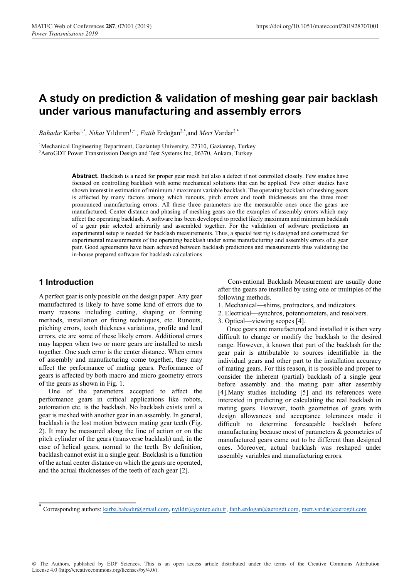# **A study on prediction & validation of meshing gear pair backlash under various manufacturing and assembly errors**

*Bahadır* Karba1,\**, Nihat* Yıldırım1,\* *, Fatih* Erdoğan2,\**,*and *Mert* Vardar2,\*

<sup>1</sup>Mechanical Engineering Department, Gaziantep University, 27310, Gaziantep, Turkey <sup>2</sup>AeroGDT Power Transmission Design and Test Systems Inc, 06370, Ankara, Turkey

> Abstract. Backlash is a need for proper gear mesh but also a defect if not controlled closely. Few studies have focused on controlling backlash with some mechanical solutions that can be applied. Few other studies have shown interest in estimation of minimum / maximum variable backlash. The operating backlash of meshing gears is affected by many factors among which runouts, pitch errors and tooth thicknesses are the three most pronounced manufacturing errors. All these three parameters are the measurable ones once the gears are manufactured. Center distance and phasing of meshing gears are the examples of assembly errors which may affect the operating backlash. A software has been developed to predict likely maximum and minimum backlash of a gear pair selected arbitrarily and assembled together. For the validation of software predictions an experimental setup is needed for backlash measurements. Thus, a special test rig is designed and constructed for experimental measurements of the operating backlash under some manufacturing and assembly errors of a gear pair. Good agreements have been achieved between backlash predictions and measurements thus validating the in-house prepared software for backlash calculations.

### **1 Introduction**

A perfect gear is only possible on the design paper. Any gear manufactured is likely to have some kind of errors due to many reasons including cutting, shaping or forming methods, installation or fixing techniques, etc. Runouts, pitching errors, tooth thickness variations, profile and lead errors, etc are some of these likely errors. Additional errors may happen when two or more gears are installed to mesh together. One such error is the center distance. When errors of assembly and manufacturing come together, they may affect the performance of mating gears. Performance of gears is affected by both macro and micro geometry errors of the gears as shown in Fig. 1.

One of the parameters accepted to affect the performance gears in critical applications like robots, automation etc. is the backlash. No backlash exists until a gear is meshed with another gear in an assembly. In general, backlash is the lost motion between mating gear teeth (Fig. 2). It may be measured along the line of action or on the pitch cylinder of the gears (transverse backlash) and, in the case of helical gears, normal to the teeth. By definition, backlash cannot exist in a single gear. Backlash is a function of the actual center distance on which the gears are operated, and the actual thicknesses of the teeth of each gear [2].

Conventional Backlash Measurement are usually done after the gears are installed by using one or multiples of the following methods.

- 1. Mechanical—shims, protractors, and indicators.
- 2. Electrical—synchros, potentiometers, and resolvers.
- 3. Optical—viewing scopes [4].

 Once gears are manufactured and installed it is then very difficult to change or modify the backlash to the desired range. However, it known that part of the backlash for the gear pair is attributable to sources identifiable in the individual gears and other part to the installation accuracy of mating gears. For this reason, it is possible and proper to consider the inherent (partial) backlash of a single gear before assembly and the mating pair after assembly [4].Many studies including [5] and its references were interested in predicting or calculating the real backlash in mating gears. However, tooth geometries of gears with design allowances and acceptance tolerances made it difficult to determine foreseeable backlash before manufacturing because most of parameters & geometries of manufactured gears came out to be different than designed ones. Moreover, actual backlash was reshaped under assembly variables and manufacturing errors.

© The Authors, published by EDP Sciences. This is an open access article distributed under the terms of the Creative Commons Attribution License 4.0 (http://creativecommons.org/licenses/by/4.0/).

 $Corresponding authors: karba.bahadir@gmail.com, nyildir@gantep.edu.tr, fatih.erdogan@aerogdt.com, mert.vardar@aerogdt.com$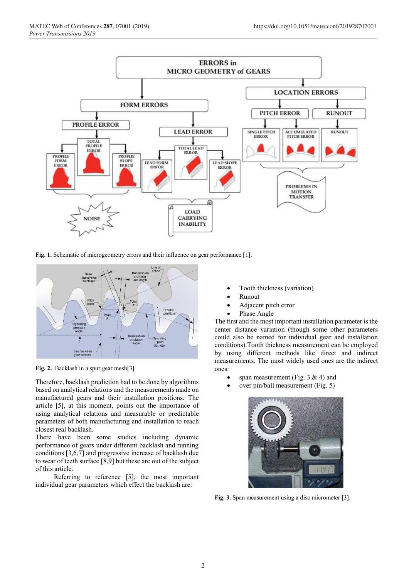

Fig. 1. Schematic of microgeometry errors and their influence on gear performance [1].



**Fig. 2.** Backlash in a spur gear mesh[3].

Therefore, backlash prediction had to be done by algorithms based on analytical relations and the measurements made on manufactured gears and their installation positions. The article [5], at this moment, points out the importance of using analytical relations and measurable or predictable parameters of both manufacturing and installation to reach closest real backlash.

There have been some studies including dynamic performance of gears under different backlash and running conditions [3,6,7] and progressive increase of backlash due to wear of teeth surface [8,9] but these are out of the subject of this article.

 Referring to reference [5], the most important individual gear parameters which effect the backlash are:

- Tooth thickness (variation)
- Runout
- Adjacent pitch error
- Phase Angle

The first and the most important installation parameter is the center distance variation (though some other parameters could also be named for individual gear and installation conditions).Tooth thickness measurement can be employed by using different methods like direct and indirect measurements. The most widely used ones are the indirect ones:

- span measurement (Fig.  $3 \& 4$ ) and
- over pin/ball measurement (Fig. 5)



**Fig. 3.** Span measurement using a disc micrometer [3].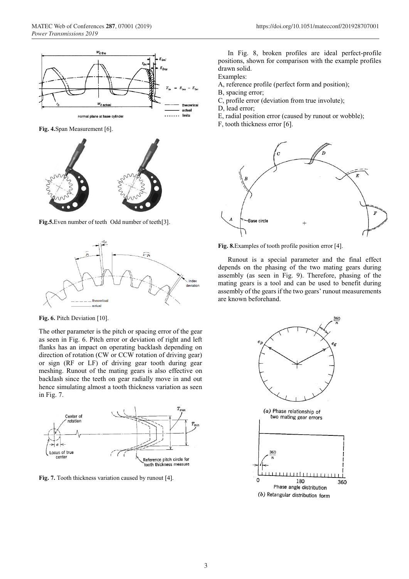

**Fig. 4.**Span Measurement [6].



**Fig.5.**Even number of teeth Odd number of teeth[3].



Fig. 6. Pitch Deviation [10].

The other parameter is the pitch or spacing error of the gear as seen in Fig. 6. Pitch error or deviation of right and left flanks has an impact on operating backlash depending on direction of rotation (CW or CCW rotation of driving gear) or sign (RF or LF) of driving gear tooth during gear meshing. Runout of the mating gears is also effective on backlash since the teeth on gear radially move in and out hence simulating almost a tooth thickness variation as seen in Fig. 7.



Fig. 7. Tooth thickness variation caused by runout [4].

In Fig. 8, broken profiles are ideal perfect-profile positions, shown for comparison with the example profiles drawn solid.

Examples:

- A, reference profile (perfect form and position);
- B, spacing error;
- C, profile error (deviation from true involute);
- D, lead error;
- E, radial position error (caused by runout or wobble);
- F, tooth thickness error [6].



**Fig. 8.**Examples of tooth profile position error [4].

Runout is a special parameter and the final effect depends on the phasing of the two mating gears during assembly (as seen in Fig. 9). Therefore, phasing of the mating gears is a tool and can be used to benefit during assembly of the gears if the two gears' runout measurements are known beforehand.

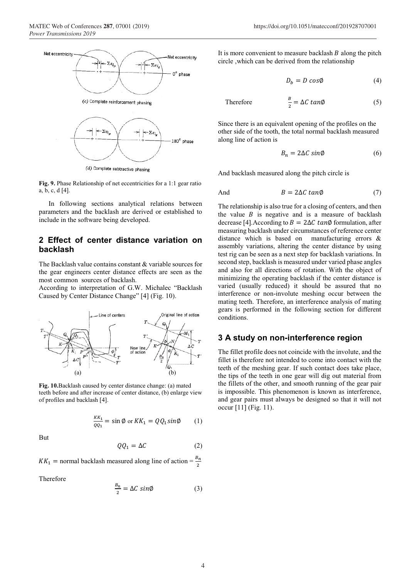

(d) Complete subtractive phasing

**Fig. 9.** Phase Relationship of net eccentricities for a 1:1 gear ratio a, b, c, d [4].

In following sections analytical relations between parameters and the backlash are derived or established to include in the software being developed.

## **2 Effect of center distance variation on backlash**

The Backlash value contains constant & variable sources for the gear engineers center distance effects are seen as the most common sources of backlash.

According to interpretation of G.W. Michalec "Backlash Caused by Center Distance Change" [4] (Fig. 10).



**Fig. 10.**Backlash caused by center distance change: (a) mated teeth before and after increase of center distance, (b) enlarge view of profiles and backlash [4].

$$
\frac{KK_1}{QQ_1} = \sin \emptyset \text{ or } KK_1 = QQ_1 \sin \emptyset \qquad (1)
$$

But

$$
QQ_1 = \Delta C \tag{2}
$$

 $KK_1$  = normal backlash measured along line of action =  $\frac{B_n}{2}$ 

Therefore

$$
\frac{B_n}{2} = \Delta C \sin \phi \tag{3}
$$

It is more convenient to measure backlash  $B$  along the pitch circle ,which can be derived from the relationship

$$
D_b = D \cos \phi \tag{4}
$$

Therefore 
$$
\frac{B}{2} = \Delta C \tan \phi
$$
 (5)

Since there is an equivalent opening of the profiles on the other side of the tooth, the total normal backlash measured along line of action is

$$
B_n = 2\Delta C \sin\phi \tag{6}
$$

And backlash measured along the pitch circle is

And 
$$
B = 2\Delta C \tan\phi
$$
 (7)

The relationship is also true for a closing of centers, and then the value  $B$  is negative and is a measure of backlash decrease [4].According to  $B = 2\Delta C \tan\phi$  formulation, after measuring backlash under circumstances of reference center distance which is based on manufacturing errors & assembly variations, altering the center distance by using test rig can be seen as a next step for backlash variations. In second step, backlash is measured under varied phase angles and also for all directions of rotation. With the object of minimizing the operating backlash if the center distance is varied (usually reduced) it should be assured that no interference or non-involute meshing occur between the mating teeth. Therefore, an interference analysis of mating gears is performed in the following section for different conditions.

#### **3 A study on non-interference region**

The fillet profile does not coincide with the involute, and the fillet is therefore not intended to come into contact with the teeth of the meshing gear. If such contact does take place, the tips of the teeth in one gear will dig out material from the fillets of the other, and smooth running of the gear pair is impossible. This phenomenon is known as interference, and gear pairs must always be designed so that it will not occur [11] (Fig. 11).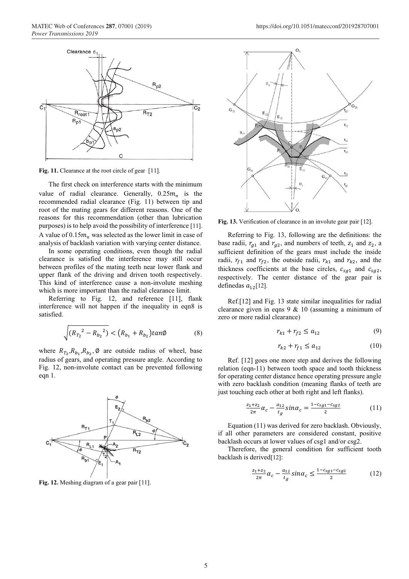

Fig. 11. Clearance at the root circle of gear [11].

The first check on interference starts with the minimum value of radial clearance. Generally,  $0.25m_n$  is the recommended radial clearance (Fig. 11) between tip and root of the mating gears for different reasons. One of the reasons for this recommendation (other than lubrication purposes) is to help avoid the possibility of interference [11]. A value of  $0.15 m<sub>n</sub>$  was selected as the lower limit in case of analysis of backlash variation with varying center distance.

In some operating conditions, even though the radial clearance is satisfied the interference may still occur between profiles of the mating teeth near lower flank and upper flank of the driving and driven tooth respectively. This kind of interference cause a non-involute meshing which is more important than the radial clearance limit.

Referring to Fig. 12, and reference [11], flank interference will not happen if the inequality in eqn8 is satisfied.

$$
\sqrt{(R_{T_2}^2 - R_{b_2}^2)} < (R_{b_1} + R_{b_2}) \tan \phi \tag{8}
$$

where  $R_{T_2}, R_{b_1}, R_{b_2}, \emptyset$  are outside radius of wheel, base radius of gears, and operating pressure angle. According to Fig. 12, non-involute contact can be prevented following eqn 1.



**Fig. 12.** Meshing diagram of a gear pair [11].



**Fig. 13.** Verification of clearance in an involute gear pair [12].

Referring to Fig. 13, following are the definitions: the base radii,  $r_{g1}$  and  $r_{g2}$ , and numbers of teeth,  $z_1$  and  $z_2$ , a sufficient definition of the gears must include the inside radii,  $r_{f1}$  and  $r_{f2}$ , the outside radii,  $r_{k1}$  and  $r_{k2}$ , and the thickness coefficients at the base circles,  $c_{sg1}$  and  $c_{sg2}$ , respectively. The center distance of the gear pair is definedas  $a_{12}$ [12].

Ref.[12] and Fig. 13 state similar inequalities for radial clearance given in eqns 9 & 10 (assuming a minimum of zero or more radial clearance)

$$
r_{k1} + r_{f2} \le a_{12} \tag{9}
$$

$$
r_{k2} + r_{f1} \le a_{12} \tag{10}
$$

Ref. [12] goes one more step and derives the following relation (eqn-11) between tooth space and tooth thickness for operating center distance hence operating pressure angle with zero backlash condition (meaning flanks of teeth are just touching each other at both right and left flanks).

$$
\frac{z_1 + z_2}{2\pi} \alpha_c - \frac{a_{12}}{t_g} \sin \alpha_c = \frac{1 - c_{sg1} - c_{sg2}}{2} \tag{11}
$$

Equation (11) was derived for zero backlash. Obviously, if all other parameters are considered constant, positive backlash occurs at lower values of csg1 and/or csg2.

Therefore, the general condition for sufficient tooth backlash is derived[12]:

$$
\frac{z_1 + z_2}{2\pi} \alpha_c - \frac{a_{12}}{t_g} \sin \alpha_c \le \frac{1 - c_{sg1} - c_{sg2}}{2} \tag{12}
$$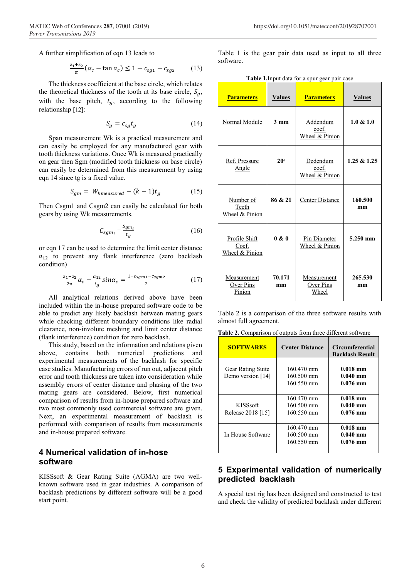A further simplification of eqn 13 leads to

$$
\frac{z_1 + z_2}{\pi} (\alpha_c - \tan \alpha_c) \le 1 - c_{sg1} - c_{sg2} \tag{13}
$$

The thickness coefficient at the base circle, which relates the theoretical thickness of the tooth at its base circle,  $S_a$ , with the base pitch,  $t<sub>g</sub>$ , according to the following relationship [12]:

$$
S_g = c_{sg} t_g \tag{14}
$$

Span measurement Wk is a practical measurement and can easily be employed for any manufactured gear with tooth thickness variations. Once Wk is measured practically on gear then Sgm (modified tooth thickness on base circle) can easily be determined from this measurement by using eqn 14 since tg is a fixed value.

$$
S_{gm} = W_{kmeasured} - (k-1)t_g \tag{15}
$$

Then Csgm1 and Csgm2 can easily be calculated for both gears by using Wk measurements.

$$
C_{sgm_i} = \frac{S_{gm_i}}{t_g} \tag{16}
$$

or eqn 17 can be used to determine the limit center distance  $a_{12}$  to prevent any flank interference (zero backlash condition)

$$
\frac{z_1 + z_2}{2\pi} \alpha_c - \frac{a_{12}}{t_g} \sin \alpha_c = \frac{1 - c_{sgm1} - c_{sgm2}}{2} \tag{17}
$$

All analytical relations derived above have been included within the in-house prepared software code to be able to predict any likely backlash between mating gears while checking different boundary conditions like radial clearance, non-involute meshing and limit center distance (flank interference) condition for zero backlash.

This study, based on the information and relations given above, contains both numerical predictions and experimental measurements of the backlash for specific case studies. Manufacturing errors of run out, adjacent pitch error and tooth thickness are taken into consideration while assembly errors of center distance and phasing of the two mating gears are considered. Below, first numerical comparison of results from in-house prepared software and two most commonly used commercial software are given. Next, an experimental measurement of backlash is performed with comparison of results from measurements and in-house prepared software.

# **4 Numerical validation of in-hose software**

KISSsoft & Gear Rating Suite (AGMA) are two wellknown software used in gear industries. A comparison of backlash predictions by different software will be a good start point.

Table 1 is the gear pair data used as input to all three software.

**Table 1.**Input data for a spur gear pair case

| <b>Parameters</b>                        | <b>Values</b>  | <b>Parameters</b>                   | <b>Values</b> |
|------------------------------------------|----------------|-------------------------------------|---------------|
| Normal Module                            | $3 \text{ mm}$ | Addendum<br>coef.<br>Wheel & Pinion | 1.0 & 1.0     |
| Ref. Pressure<br>Angle                   | 20°            | Dedendum<br>coef.<br>Wheel & Pinion | 1.25 & 1.25   |
| Number of<br>Teeth<br>Wheel & Pinion     | 86 & 21        | Center Distance                     | 160.500<br>mm |
| Profile Shift<br>Coef.<br>Wheel & Pinion | 0 & 0          | Pin Diameter<br>Wheel & Pinion      | 5.250 mm      |
| Measurement<br>Over Pins<br>Pinion       | 70.171<br>mm   | Measurement<br>Over Pins<br>Wheel   | 265.530<br>mm |

Table 2 is a comparison of the three software results with almost full agreement.

**Table 2.** Comparison of outputs from three different software

| <b>SOFTWARES</b>                              | <b>Center Distance</b>                           | <b>Circumferential</b><br><b>Backlash Result</b> |
|-----------------------------------------------|--------------------------------------------------|--------------------------------------------------|
| <b>Gear Rating Suite</b><br>Demo version [14] | 160.470 mm<br>160.500 mm<br>160.550 mm           | $0.018$ mm<br>$0.040$ mm<br>$0.076$ mm           |
| <b>KISSsoft</b><br>Release 2018 [15]          | 160.470 mm<br>160.500 mm<br>160.550 mm           | $0.018$ mm<br>$0.040$ mm<br>$0.076$ mm           |
| In House Software                             | 160.470 mm<br>$160.500 \text{ mm}$<br>160.550 mm | $0.018$ mm<br>$0.040$ mm<br>$0.076$ mm           |

# **5 Experimental validation of numerically predicted backlash**

A special test rig has been designed and constructed to test and check the validity of predicted backlash under different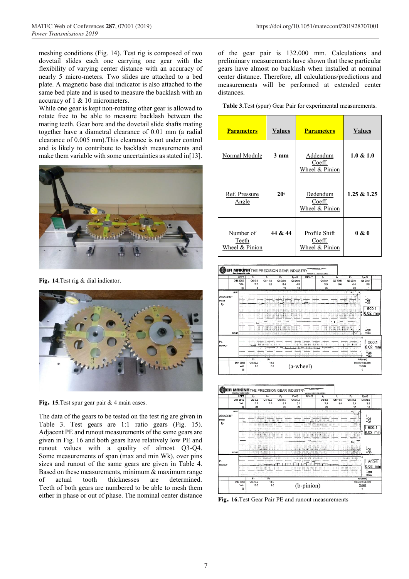meshing conditions (Fig. 14). Test rig is composed of two dovetail slides each one carrying one gear with the flexibility of varying center distance with an accuracy of nearly 5 micro-meters. Two slides are attached to a bed plate. A magnetic base dial indicator is also attached to the same bed plate and is used to measure the backlash with an accuracy of 1 & 10 micrometers.

While one gear is kept non-rotating other gear is allowed to rotate free to be able to measure backlash between the mating teeth. Gear bore and the dovetail slide shafts mating together have a diametral clearance of 0.01 mm (a radial clearance of 0.005 mm).This clearance is not under control and is likely to contribute to backlash measurements and make them variable with some uncertainties as stated in[13].



**Fig. 14.**Test rig & dial indicator.



**Fig. 15.**Test spur gear pair & 4 main cases.

The data of the gears to be tested on the test rig are given in Table 3. Test gears are 1:1 ratio gears (Fig. 15). Adjacent PE and runout measurements of the same gears are given in Fig. 16 and both gears have relatively low PE and runout values with a quality of almost Q3-Q4. Some measurements of span (max and min Wk), over pins sizes and runout of the same gears are given in Table 4. Based on these measurements, minimum  $\&$  maximum range of actual tooth thicknesses are determined. Teeth of both gears are numbered to be able to mesh them either in phase or out of phase. The nominal center distance

of the gear pair is 132.000 mm. Calculations and preliminary measurements have shown that these particular gears have almost no backlash when installed at nominal center distance. Therefore, all calculations/predictions and measurements will be performed at extended center distances.

**Table 3.**Test (spur) Gear Pair for experimental measurements.

| <b>Parameters</b>                    | <b>Values</b>  | <b>Parameters</b>                         | <b>Values</b> |
|--------------------------------------|----------------|-------------------------------------------|---------------|
| Normal Module                        | $3 \text{ mm}$ | Addendum<br>Coeff.<br>Wheel & Pinion      | 1.0 & 1.0     |
| Ref. Pressure<br>Angle               | 20°            | Dedendum<br>Coeff.<br>Wheel & Pinion      | 1.25 & 1.25   |
| Number of<br>Teeth<br>Wheel & Pinion | 44 & 44        | Profile Shift<br>Coeff.<br>Wheel & Pinion | 0 & 0         |

|                                       |                      | LEFT                                   | fp                                                                                                             | fu                                                                                   | Fp                                                               | Fpz/8                                                          | <b>RIGHT</b>                                                                                | fp                                                                     | fu                                                                                                      | Fp                                                                                              | Fpz/8                                                              |
|---------------------------------------|----------------------|----------------------------------------|----------------------------------------------------------------------------------------------------------------|--------------------------------------------------------------------------------------|------------------------------------------------------------------|----------------------------------------------------------------|---------------------------------------------------------------------------------------------|------------------------------------------------------------------------|---------------------------------------------------------------------------------------------------------|-------------------------------------------------------------------------------------------------|--------------------------------------------------------------------|
|                                       |                      | DIN 3962<br><b>VAL</b>                 | Q6 8.0<br>2.2                                                                                                  | Q6 10.0<br>3.0                                                                       | Q6 32.0<br>8.4                                                   | Q6 20.0<br>4.9                                                 |                                                                                             | Q68.0<br>3.5                                                           | Q6 10.0<br>5.0                                                                                          | Q6 32.0<br>84                                                                                   | Q620.0<br>5.8                                                      |
|                                       |                      | Q                                      | 8                                                                                                              |                                                                                      | 10                                                               | 44                                                             |                                                                                             | 35                                                                     |                                                                                                         | 36                                                                                              |                                                                    |
| <b>ADJACENT</b><br><b>PITCH</b><br>fp | LEFT<br><b>RIGHT</b> | 1.11<br><b>A</b><br>$\sim$<br>$\cdots$ | 12<br>1.1.1<br>1.1.7<br><b>FILE PERSONAL PROPERTY AND LOCAL</b><br><u>in ar Magailtean in aguinnt ann an a</u> | <br><b>COLLEGE</b><br>72<br>$-1.669211$<br><b>AALAAAAAAAAAAAAAAAA</b><br>1.1.1.1.1.1 | $\overline{111}$<br>a da bashki manar bata<br><b>BAR 100</b><br> | <br><b><i><u>ALCOHOL:</u></i></b><br><b></b><br>.<br>1111<br>. | . .<br>$\overline{1}$<br>3,533<br>liliai<br>$-$<br>TH . 111<br><b>ALC UNIT</b><br>1.11<br>. | .<br>1.1.1.1<br>. .<br><b>FREDRICK CORPORATION</b><br>.<br>111.12<br>. | <b>A 1979</b><br>≂<br>.<br><br>$-111$<br>$-200 - 200$<br><b><i>COLLEGE</i></b><br>1.1.1<br>.<br>: m<br> | <br>$\overline{\phantom{a}}$<br><br>.<br>maa<br>.<br>.<br>.<br><b></b><br><b>Billi</b><br><br>. | $\frac{100}{100}$<br>500:1<br>$0.02$ mm<br>≟Q6<br>$=\overline{Q4}$ |
| PI.<br><b>RUNOUT</b>                  |                      | $\sim$ $\sim$                          | ---<br>$\sim$<br>Fr                                                                                            | <br><br><b>Rs</b>                                                                    | 14.44<br><b>COLOR</b>                                            | .                                                              | <br><b>COLOR</b>                                                                            | $\sim$                                                                 | $\sim$                                                                                                  | $\sim$<br>                                                                                      | 500:1<br>$0.02$ mm<br>≐Q6<br>$= 0.3$<br>Wk(mm)                     |
|                                       |                      | <b>DIN 3962</b><br>VAL<br>Q            | Q6 22.0<br>6.6                                                                                                 | 14.0<br>5.0                                                                          |                                                                  | (a-wheel)                                                      |                                                                                             |                                                                        |                                                                                                         |                                                                                                 | 50.550 / 50.560<br>50.554<br>6                                     |



**Fig. 16.**Test Gear Pair PE and runout measurements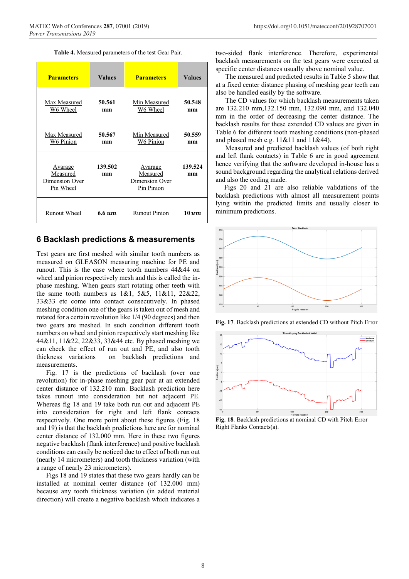| Table 4. Measured parameters of the test Gear Pair. |  |  |  |  |  |
|-----------------------------------------------------|--|--|--|--|--|
|-----------------------------------------------------|--|--|--|--|--|

| <b>Parameters</b>                                         | <b>Values</b>       | <b>Parameters</b>                                          | <b>Values</b> |
|-----------------------------------------------------------|---------------------|------------------------------------------------------------|---------------|
| Max Measured<br>W6 Wheel                                  | 50.561<br>mm        | Min Measured<br>W6 Wheel                                   | 50.548<br>mm  |
| Max Measured<br>W6 Pinion                                 | 50.567<br>mm        | Min Measured<br>W6 Pinion                                  | 50.559<br>mm  |
| <u>Avarage</u><br>Measured<br>Dimension Over<br>Pin Wheel | 139.502<br>mm       | <u>Avarage</u><br>Measured<br>Dimension Over<br>Pin Pinion | 139.524<br>mm |
| Runout Wheel                                              | $6.6 \text{ }\mu m$ | <b>Runout Pinion</b>                                       | $10 \; \mu m$ |

#### **6 Backlash predictions & measurements**

Test gears are first meshed with similar tooth numbers as measured on GLEASON measuring machine for PE and runout. This is the case where tooth numbers 44&44 on wheel and pinion respectively mesh and this is called the inphase meshing. When gears start rotating other teeth with the same tooth numbers as 1&1, 5&5, 11&11, 22&22, 33&33 etc come into contact consecutively. In phased meshing condition one of the gears is taken out of mesh and rotated for a certain revolution like 1/4 (90 degrees) and then two gears are meshed. In such condition different tooth numbers on wheel and pinion respectively start meshing like 44&11, 11&22, 22&33, 33&44 etc. By phased meshing we can check the effect of run out and PE, and also tooth thickness variations on backlash predictions and measurements.

Fig. 17 is the predictions of backlash (over one revolution) for in-phase meshing gear pair at an extended center distance of 132.210 mm. Backlash prediction here takes runout into consideration but not adjacent PE. Whereas fig 18 and 19 take both run out and adjacent PE into consideration for right and left flank contacts respectively. One more point about these figures (Fig. 18 and 19) is that the backlash predictions here are for nominal center distance of 132.000 mm. Here in these two figures negative backlash (flank interference) and positive backlash conditions can easily be noticed due to effect of both run out (nearly 14 micrometers) and tooth thickness variation (with a range of nearly 23 micrometers).

Figs 18 and 19 states that these two gears hardly can be installed at nominal center distance (of 132.000 mm) because any tooth thickness variation (in added material direction) will create a negative backlash which indicates a

two-sided flank interference. Therefore, experimental backlash measurements on the test gears were executed at specific center distances usually above nominal value.

The measured and predicted results in Table 5 show that at a fixed center distance phasing of meshing gear teeth can also be handled easily by the software.

The CD values for which backlash measurements taken are 132.210 mm,132.150 mm, 132.090 mm, and 132.040 mm in the order of decreasing the center distance. The backlash results for these extended CD values are given in Table 6 for different tooth meshing conditions (non-phased and phased mesh e.g. 11&11 and 11&44).

Measured and predicted backlash values (of both right and left flank contacts) in Table 6 are in good agreement hence verifying that the software developed in-house has a sound background regarding the analytical relations derived and also the coding made.

 Figs 20 and 21 are also reliable validations of the backlash predictions with almost all measurement points lying within the predicted limits and usually closer to minimum predictions.



**Fig. 17**. Backlash predictions at extended CD without Pitch Error



**Fig. 18**. Backlash predictions at nominal CD with Pitch Error Right Flanks Contacts(a).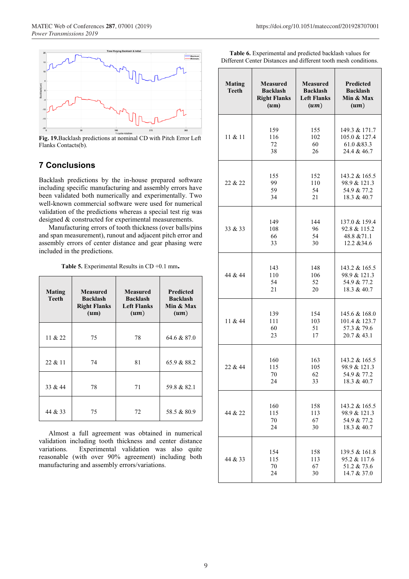

**Fig. 19.**Backlash predictions at nominal CD with Pitch Error Left Flanks Contacts(b).

# **7 Conclusions**

Backlash predictions by the in-house prepared software including specific manufacturing and assembly errors have been validated both numerically and experimentally. Two well-known commercial software were used for numerical validation of the predictions whereas a special test rig was designed & constructed for experimental measurements.

Manufacturing errors of tooth thickness (over balls/pins and span measurement), runout and adjacent pitch error and assembly errors of center distance and gear phasing were included in the predictions.

**Table 5.** Experimental Results in CD +0.1 mm**.**

| Mating<br>Teeth | <b>Measured</b><br><b>Backlash</b><br><b>Right Flanks</b><br>$(u_m)$ | <b>Measured</b><br><b>Backlash</b><br><b>Left Flanks</b><br>$(u_m)$ | <b>Predicted</b><br><b>Backlash</b><br>Min & Max<br>$(u_m)$ |
|-----------------|----------------------------------------------------------------------|---------------------------------------------------------------------|-------------------------------------------------------------|
| 11 $& 22$       | 75                                                                   | 78                                                                  | 64.6 & 87.0                                                 |
|                 |                                                                      |                                                                     |                                                             |
| 22 & 11         | 74                                                                   | 81                                                                  | 65.9 & 88.2                                                 |
| 33 $&44$        | 78                                                                   | 71                                                                  | 59.8 & 82.1                                                 |
| 44 & 33         | 75                                                                   | 72                                                                  | 58.5 & 80.9                                                 |

Almost a full agreement was obtained in numerical validation including tooth thickness and center distance variations. Experimental validation was also quite reasonable (with over 90% agreement) including both manufacturing and assembly errors/variations.

| <b>Table 6.</b> Experimental and predicted backlash values for  |
|-----------------------------------------------------------------|
| Different Center Distances and different tooth mesh conditions. |

| <b>Mating</b><br><b>Teeth</b> | <b>Measured</b><br><b>Backlash</b><br><b>Right Flanks</b><br>$(u_m)$ | <b>Measured</b><br><b>Backlash</b><br><b>Left Flanks</b><br>$(u_m)$ | Predicted<br><b>Backlash</b><br>Min & Max<br>$(u_m)$ |
|-------------------------------|----------------------------------------------------------------------|---------------------------------------------------------------------|------------------------------------------------------|
| 11 & 11                       | 159                                                                  | 155                                                                 | 149.3 & 171.7                                        |
|                               | 116                                                                  | 102                                                                 | 105.0 & 127.4                                        |
|                               | 72                                                                   | 60                                                                  | 61.0 & 83.3                                          |
|                               | 38                                                                   | 26                                                                  | 24.4 & 46.7                                          |
| 22 & 22                       | 155                                                                  | 152                                                                 | 143.2 & 165.5                                        |
|                               | 99                                                                   | 110                                                                 | 98.9 & 121.3                                         |
|                               | 59                                                                   | 54                                                                  | 54.9 & 77.2                                          |
|                               | 34                                                                   | 21                                                                  | 18.3 & 40.7                                          |
| 33 & 33                       | 149                                                                  | 144                                                                 | 137.0 & 159.4                                        |
|                               | 108                                                                  | 96                                                                  | 92.8 & 115.2                                         |
|                               | 66                                                                   | 54                                                                  | 48.8 & 71.1                                          |
|                               | 33                                                                   | 30                                                                  | 12.2 & 34.6                                          |
| 44 & 44                       | 143                                                                  | 148                                                                 | 143.2 & 165.5                                        |
|                               | 110                                                                  | 106                                                                 | 98.9 & 121.3                                         |
|                               | 54                                                                   | 52                                                                  | 54.9 & 77.2                                          |
|                               | 21                                                                   | 20                                                                  | 18.3 & 40.7                                          |
| 11 & 44                       | 139                                                                  | 154                                                                 | 145.6 & 168.0                                        |
|                               | 111                                                                  | 103                                                                 | 101.4 & 123.7                                        |
|                               | 60                                                                   | 51                                                                  | 57.3 & 79.6                                          |
|                               | 23                                                                   | 17                                                                  | 20.7 & 43.1                                          |
| 22 & 44                       | 160                                                                  | 163                                                                 | 143.2 & 165.5                                        |
|                               | 115                                                                  | 105                                                                 | 98.9 & 121.3                                         |
|                               | 70                                                                   | 62                                                                  | 54.9 & 77.2                                          |
|                               | 24                                                                   | 33                                                                  | 18.3 & 40.7                                          |
| 44 & 22                       | 160                                                                  | 158                                                                 | 143.2 & 165.5                                        |
|                               | 115                                                                  | 113                                                                 | 98.9 & 121.3                                         |
|                               | 70                                                                   | 67                                                                  | 54.9 & 77.2                                          |
|                               | 24                                                                   | 30                                                                  | 18.3 & 40.7                                          |
| 44 & 33                       | 154                                                                  | 158                                                                 | 139.5 & 161.8                                        |
|                               | 115                                                                  | 113                                                                 | 95.2 & 117.6                                         |
|                               | 70                                                                   | 67                                                                  | 51.2 & 73.6                                          |
|                               | 24                                                                   | 30                                                                  | 14.7 & 37.0                                          |